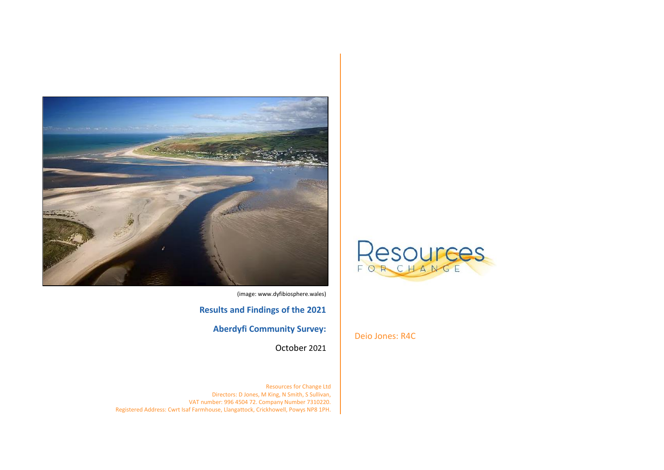

(image: www.dyfibiosphere.wales)

**Results and Findings of the 2021** 

**Aberdyfi Community Survey:**

October 2021

Resources for Change Ltd Directors: D Jones, M King, N Smith, S Sullivan, VAT number: 996 4504 72. Company Number 7310220. Registered Address: Cwrt Isaf Farmhouse, Llangattock, Crickhowell, Powys NP8 1PH.



Deio Jones: R4C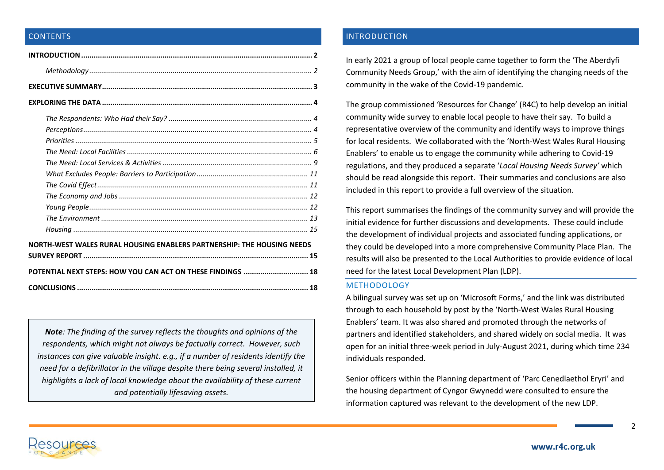# **CONTENTS**

| NORTH-WEST WALES RURAL HOUSING ENABLERS PARTNERSHIP: THE HOUSING NEEDS |  |  |  |
|------------------------------------------------------------------------|--|--|--|
|                                                                        |  |  |  |
| POTENTIAL NEXT STEPS: HOW YOU CAN ACT ON THESE FINDINGS  18            |  |  |  |
|                                                                        |  |  |  |

*Note: The finding of the survey reflects the thoughts and opinions of the respondents, which might not always be factually correct. However, such instances can give valuable insight. e.g., if a number of residents identify the need for a defibrillator in the village despite there being several installed, it highlights a lack of local knowledge about the availability of these current and potentially lifesaving assets.*

# INTRODUCTION

In early 2021 a group of local people came together to form the 'The Aberdyfi Community Needs Group,' with the aim of identifying the changing needs of the community in the wake of the Covid-19 pandemic.

The group commissioned 'Resources for Change' (R4C) to help develop an initial community wide survey to enable local people to have their say. To build a representative overview of the community and identify ways to improve things for local residents. We collaborated with the 'North-West Wales Rural Housing Enablers' to enable us to engage the community while adhering to Covid-19 regulations, and they produced a separate '*Local Housing Needs Survey'* which should be read alongside this report. Their summaries and conclusions are also included in this report to provide a full overview of the situation.

This report summarises the findings of the community survey and will provide the initial evidence for further discussions and developments. These could include the development of individual projects and associated funding applications, or they could be developed into a more comprehensive Community Place Plan. The results will also be presented to the Local Authorities to provide evidence of local need for the latest Local Development Plan (LDP).

#### METHODOLOGY

A bilingual survey was set up on 'Microsoft Forms,' and the link was distributed through to each household by post by the 'North-West Wales Rural Housing Enablers' team. It was also shared and promoted through the networks of partners and identified stakeholders, and shared widely on social media. It was open for an initial three-week period in July-August 2021, during which time 234 individuals responded.

Senior officers within the Planning department of 'Parc Cenedlaethol Eryri' and the housing department of Cyngor Gwynedd were consulted to ensure the information captured was relevant to the development of the new LDP.

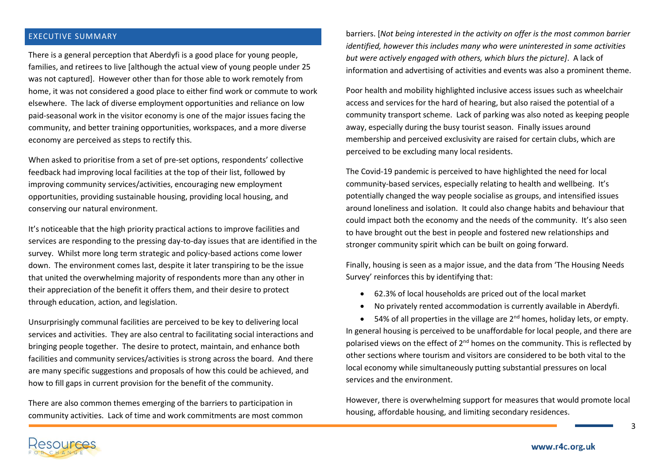### EXECUTIVE SUMMARY

There is a general perception that Aberdyfi is a good place for young people, families, and retirees to live [although the actual view of young people under 25 was not captured]. However other than for those able to work remotely from home, it was not considered a good place to either find work or commute to work elsewhere. The lack of diverse employment opportunities and reliance on low paid-seasonal work in the visitor economy is one of the major issues facing the community, and better training opportunities, workspaces, and a more diverse economy are perceived as steps to rectify this.

When asked to prioritise from a set of pre-set options, respondents' collective feedback had improving local facilities at the top of their list, followed by improving community services/activities, encouraging new employment opportunities, providing sustainable housing, providing local housing, and conserving our natural environment.

It's noticeable that the high priority practical actions to improve facilities and services are responding to the pressing day-to-day issues that are identified in the survey. Whilst more long term strategic and policy-based actions come lower down. The environment comes last, despite it later transpiring to be the issue that united the overwhelming majority of respondents more than any other in their appreciation of the benefit it offers them, and their desire to protect through education, action, and legislation.

Unsurprisingly communal facilities are perceived to be key to delivering local services and activities. They are also central to facilitating social interactions and bringing people together. The desire to protect, maintain, and enhance both facilities and community services/activities is strong across the board. And there are many specific suggestions and proposals of how this could be achieved, and how to fill gaps in current provision for the benefit of the community.

There are also common themes emerging of the barriers to participation in community activities. Lack of time and work commitments are most common

barriers. [*Not being interested in the activity on offer is the most common barrier identified, however this includes many who were uninterested in some activities but were actively engaged with others, which blurs the picture]*. A lack of information and advertising of activities and events was also a prominent theme.

Poor health and mobility highlighted inclusive access issues such as wheelchair access and services for the hard of hearing, but also raised the potential of a community transport scheme. Lack of parking was also noted as keeping people away, especially during the busy tourist season. Finally issues around membership and perceived exclusivity are raised for certain clubs, which are perceived to be excluding many local residents.

The Covid-19 pandemic is perceived to have highlighted the need for local community-based services, especially relating to health and wellbeing. It's potentially changed the way people socialise as groups, and intensified issues around loneliness and isolation. It could also change habits and behaviour that could impact both the economy and the needs of the community. It's also seen to have brought out the best in people and fostered new relationships and stronger community spirit which can be built on going forward.

Finally, housing is seen as a major issue, and the data from 'The Housing Needs Survey' reinforces this by identifying that:

- 62.3% of local households are priced out of the local market
- No privately rented accommodation is currently available in Aberdyfi.

• 54% of all properties in the village are  $2^{nd}$  homes, holiday lets, or empty. In general housing is perceived to be unaffordable for local people, and there are polarised views on the effect of  $2^{nd}$  homes on the community. This is reflected by other sections where tourism and visitors are considered to be both vital to the local economy while simultaneously putting substantial pressures on local services and the environment.

However, there is overwhelming support for measures that would promote local housing, affordable housing, and limiting secondary residences.

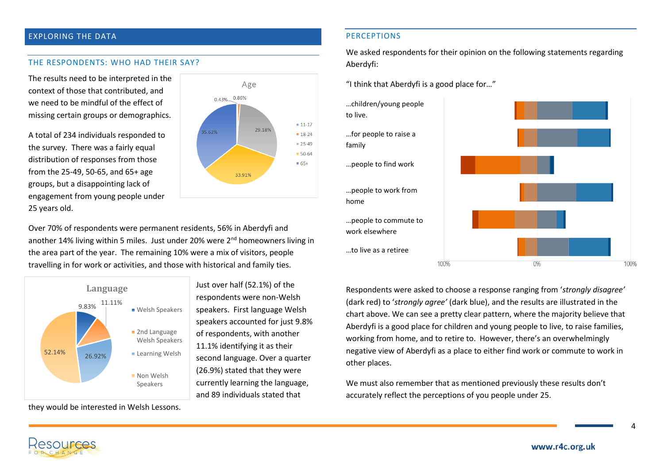### EXPLORING THE DATA

#### THE RESPONDENTS: WHO HAD THEIR SAY?

The results need to be interpreted in the context of those that contributed, and we need to be mindful of the effect of missing certain groups or demographics.

A total of 234 individuals responded to the survey. There was a fairly equal distribution of responses from those from the 25-49, 50-65, and 65+ age groups, but a disappointing lack of engagement from young people under 25 years old.



Over 70% of respondents were permanent residents, 56% in Aberdyfi and another 14% living within 5 miles. Just under 20% were 2<sup>nd</sup> homeowners living in the area part of the year. The remaining 10% were a mix of visitors, people travelling in for work or activities, and those with historical and family ties.



Just over half (52.1%) of the respondents were non-Welsh speakers. First language Welsh speakers accounted for just 9.8% of respondents, with another 11.1% identifying it as their second language. Over a quarter (26.9%) stated that they were currently learning the language, and 89 individuals stated that

they would be interested in Welsh Lessons.

#### PERCEPTIONS

We asked respondents for their opinion on the following statements regarding Aberdyfi:

"I think that Aberdyfi is a good place for…"



Respondents were asked to choose a response ranging from '*strongly disagree'* (dark red) to '*strongly agree'* (dark blue), and the results are illustrated in the chart above. We can see a pretty clear pattern, where the majority believe that Aberdyfi is a good place for children and young people to live, to raise families, working from home, and to retire to. However, there's an overwhelmingly negative view of Aberdyfi as a place to either find work or commute to work in other places.

We must also remember that as mentioned previously these results don't accurately reflect the perceptions of you people under 25.

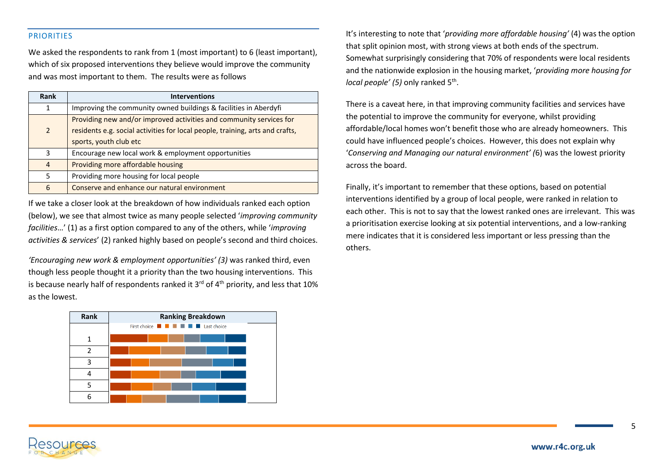### **PRIORITIES**

We asked the respondents to rank from 1 (most important) to 6 (least important), which of six proposed interventions they believe would improve the community and was most important to them. The results were as follows

| <b>Rank</b>    | <b>Interventions</b>                                                                                                                                                           |
|----------------|--------------------------------------------------------------------------------------------------------------------------------------------------------------------------------|
|                | Improving the community owned buildings & facilities in Aberdyfi                                                                                                               |
| $\overline{2}$ | Providing new and/or improved activities and community services for<br>residents e.g. social activities for local people, training, arts and crafts,<br>sports, youth club etc |
| 3              | Encourage new local work & employment opportunities                                                                                                                            |
| $\overline{4}$ | Providing more affordable housing                                                                                                                                              |
| 5              | Providing more housing for local people                                                                                                                                        |
| 6              | Conserve and enhance our natural environment                                                                                                                                   |

If we take a closer look at the breakdown of how individuals ranked each option (below), we see that almost twice as many people selected '*improving community facilities*…' (1) as a first option compared to any of the others, while '*improving activities & services*' (2) ranked highly based on people's second and third choices.

*'Encouraging new work & employment opportunities' (3)* was ranked third, even though less people thought it a priority than the two housing interventions. This is because nearly half of respondents ranked it  $3<sup>rd</sup>$  of  $4<sup>th</sup>$  priority, and less that 10% as the lowest.



It's interesting to note that '*providing more affordable housing'* (4) was the option that split opinion most, with strong views at both ends of the spectrum. Somewhat surprisingly considering that 70% of respondents were local residents and the nationwide explosion in the housing market, '*providing more housing for local people' (5)* only ranked 5<sup>th</sup>.

There is a caveat here, in that improving community facilities and services have the potential to improve the community for everyone, whilst providing affordable/local homes won't benefit those who are already homeowners. This could have influenced people's choices. However, this does not explain why '*Conserving and Managing our natural environment' (*6) was the lowest priority across the board.

Finally, it's important to remember that these options, based on potential interventions identified by a group of local people, were ranked in relation to each other. This is not to say that the lowest ranked ones are irrelevant. This was a prioritisation exercise looking at six potential interventions, and a low-ranking mere indicates that it is considered less important or less pressing than the others.

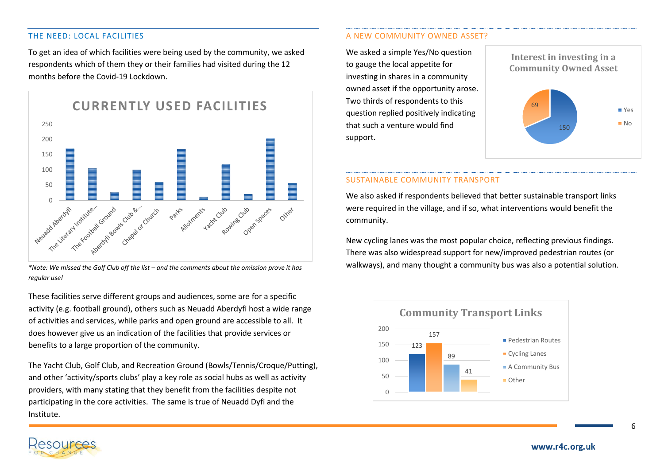# THE NEED: LOCAL FACILITIES

To get an idea of which facilities were being used by the community, we asked respondents which of them they or their families had visited during the 12 months before the Covid-19 Lockdown.



*\*Note: We missed the Golf Club off the list – and the comments about the omission prove it has regular use!*

These facilities serve different groups and audiences, some are for a specific activity (e.g. football ground), others such as Neuadd Aberdyfi host a wide range of activities and services, while parks and open ground are accessible to all. It does however give us an indication of the facilities that provide services or benefits to a large proportion of the community.

The Yacht Club, Golf Club, and Recreation Ground (Bowls/Tennis/Croque/Putting), and other 'activity/sports clubs' play a key role as social hubs as well as activity providers, with many stating that they benefit from the facilities despite not participating in the core activities. The same is true of Neuadd Dyfi and the Institute.

### A NEW COMMUNITY OWNED ASSET?

We asked a simple Yes/No question to gauge the local appetite for investing in shares in a community owned asset if the opportunity arose. Two thirds of respondents to this question replied positively indicating that such a venture would find support.





# SUSTAINABLE COMMUNITY TRANSPORT

We also asked if respondents believed that better sustainable transport links were required in the village, and if so, what interventions would benefit the community.

New cycling lanes was the most popular choice, reflecting previous findings. There was also widespread support for new/improved pedestrian routes (or walkways), and many thought a community bus was also a potential solution.



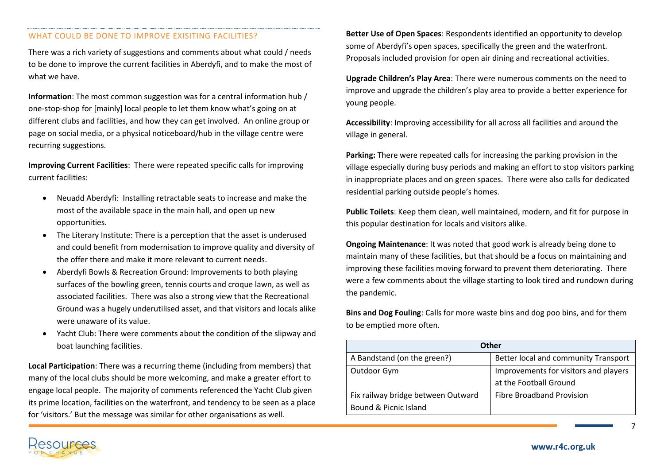# WHAT COULD BE DONE TO IMPROVE EXISITING FACILITIES?

There was a rich variety of suggestions and comments about what could / needs to be done to improve the current facilities in Aberdyfi, and to make the most of what we have.

**Information**: The most common suggestion was for a central information hub / one-stop-shop for [mainly] local people to let them know what's going on at different clubs and facilities, and how they can get involved. An online group or page on social media, or a physical noticeboard/hub in the village centre were recurring suggestions.

**Improving Current Facilities**: There were repeated specific calls for improving current facilities:

- Neuadd Aberdyfi: Installing retractable seats to increase and make the most of the available space in the main hall, and open up new opportunities.
- The Literary Institute: There is a perception that the asset is underused and could benefit from modernisation to improve quality and diversity of the offer there and make it more relevant to current needs.
- Aberdyfi Bowls & Recreation Ground: Improvements to both playing surfaces of the bowling green, tennis courts and croque lawn, as well as associated facilities. There was also a strong view that the Recreational Ground was a hugely underutilised asset, and that visitors and locals alike were unaware of its value.
- Yacht Club: There were comments about the condition of the slipway and boat launching facilities.

**Local Participation**: There was a recurring theme (including from members) that many of the local clubs should be more welcoming, and make a greater effort to engage local people. The majority of comments referenced the Yacht Club given its prime location, facilities on the waterfront, and tendency to be seen as a place for 'visitors.' But the message was similar for other organisations as well.

**Better Use of Open Spaces**: Respondents identified an opportunity to develop some of Aberdyfi's open spaces, specifically the green and the waterfront. Proposals included provision for open air dining and recreational activities.

**Upgrade Children's Play Area**: There were numerous comments on the need to improve and upgrade the children's play area to provide a better experience for young people.

**Accessibility**: Improving accessibility for all across all facilities and around the village in general.

**Parking:** There were repeated calls for increasing the parking provision in the village especially during busy periods and making an effort to stop visitors parking in inappropriate places and on green spaces. There were also calls for dedicated residential parking outside people's homes.

**Public Toilets**: Keep them clean, well maintained, modern, and fit for purpose in this popular destination for locals and visitors alike.

**Ongoing Maintenance**: It was noted that good work is already being done to maintain many of these facilities, but that should be a focus on maintaining and improving these facilities moving forward to prevent them deteriorating. There were a few comments about the village starting to look tired and rundown during the pandemic.

**Bins and Dog Fouling**: Calls for more waste bins and dog poo bins, and for them to be emptied more often.

| Other                              |                                       |  |
|------------------------------------|---------------------------------------|--|
| A Bandstand (on the green?)        | Better local and community Transport  |  |
| Outdoor Gym                        | Improvements for visitors and players |  |
|                                    | at the Football Ground                |  |
| Fix railway bridge between Outward | <b>Fibre Broadband Provision</b>      |  |
| Bound & Picnic Island              |                                       |  |

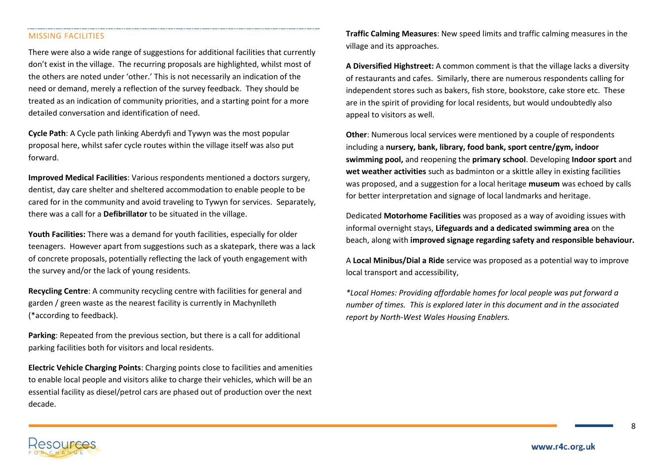# MISSING FACILITIES

There were also a wide range of suggestions for additional facilities that currently don't exist in the village. The recurring proposals are highlighted, whilst most of the others are noted under 'other.' This is not necessarily an indication of the need or demand, merely a reflection of the survey feedback. They should be treated as an indication of community priorities, and a starting point for a more detailed conversation and identification of need.

**Cycle Path**: A Cycle path linking Aberdyfi and Tywyn was the most popular proposal here, whilst safer cycle routes within the village itself was also put forward.

**Improved Medical Facilities**: Various respondents mentioned a doctors surgery, dentist, day care shelter and sheltered accommodation to enable people to be cared for in the community and avoid traveling to Tywyn for services. Separately, there was a call for a **Defibrillator** to be situated in the village.

**Youth Facilities:** There was a demand for youth facilities, especially for older teenagers. However apart from suggestions such as a skatepark, there was a lack of concrete proposals, potentially reflecting the lack of youth engagement with the survey and/or the lack of young residents.

**Recycling Centre**: A community recycling centre with facilities for general and garden / green waste as the nearest facility is currently in Machynlleth (\*according to feedback).

**Parking**: Repeated from the previous section, but there is a call for additional parking facilities both for visitors and local residents.

**Electric Vehicle Charging Points**: Charging points close to facilities and amenities to enable local people and visitors alike to charge their vehicles, which will be an essential facility as diesel/petrol cars are phased out of production over the next decade.

**Traffic Calming Measures**: New speed limits and traffic calming measures in the village and its approaches.

**A Diversified Highstreet:** A common comment is that the village lacks a diversity of restaurants and cafes. Similarly, there are numerous respondents calling for independent stores such as bakers, fish store, bookstore, cake store etc. These are in the spirit of providing for local residents, but would undoubtedly also appeal to visitors as well.

**Other**: Numerous local services were mentioned by a couple of respondents including a **nursery, bank, library, food bank, sport centre/gym, indoor swimming pool,** and reopening the **primary school**. Developing **Indoor sport** and **wet weather activities** such as badminton or a skittle alley in existing facilities was proposed, and a suggestion for a local heritage **museum** was echoed by calls for better interpretation and signage of local landmarks and heritage.

Dedicated **Motorhome Facilities** was proposed as a way of avoiding issues with informal overnight stays, **Lifeguards and a dedicated swimming area** on the beach, along with **improved signage regarding safety and responsible behaviour.**

A **Local Minibus/Dial a Ride** service was proposed as a potential way to improve local transport and accessibility,

*\*Local Homes: Providing affordable homes for local people was put forward a number of times. This is explored later in this document and in the associated report by North-West Wales Housing Enablers.*

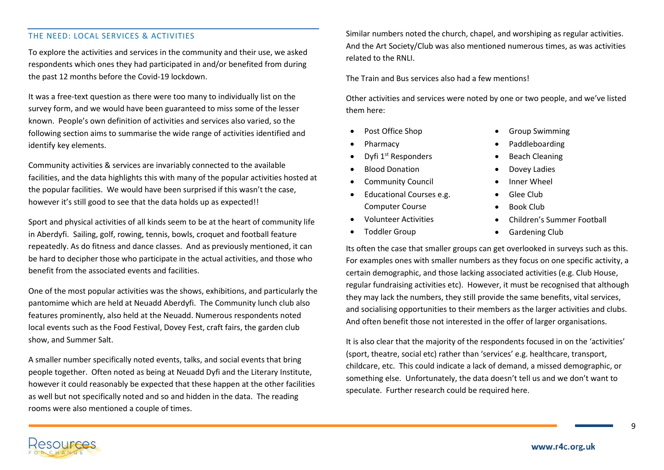# THE NEED: LOCAL SERVICES & ACTIVITIES

To explore the activities and services in the community and their use, we asked respondents which ones they had participated in and/or benefited from during the past 12 months before the Covid-19 lockdown.

It was a free-text question as there were too many to individually list on the survey form, and we would have been guaranteed to miss some of the lesser known. People's own definition of activities and services also varied, so the following section aims to summarise the wide range of activities identified and identify key elements.

Community activities & services are invariably connected to the available facilities, and the data highlights this with many of the popular activities hosted at the popular facilities. We would have been surprised if this wasn't the case, however it's still good to see that the data holds up as expected!!

Sport and physical activities of all kinds seem to be at the heart of community life in Aberdyfi. Sailing, golf, rowing, tennis, bowls, croquet and football feature repeatedly. As do fitness and dance classes. And as previously mentioned, it can be hard to decipher those who participate in the actual activities, and those who benefit from the associated events and facilities.

One of the most popular activities was the shows, exhibitions, and particularly the pantomime which are held at Neuadd Aberdyfi. The Community lunch club also features prominently, also held at the Neuadd. Numerous respondents noted local events such as the Food Festival, Dovey Fest, craft fairs, the garden club show, and Summer Salt.

A smaller number specifically noted events, talks, and social events that bring people together. Often noted as being at Neuadd Dyfi and the Literary Institute, however it could reasonably be expected that these happen at the other facilities as well but not specifically noted and so and hidden in the data. The reading rooms were also mentioned a couple of times.

Similar numbers noted the church, chapel, and worshiping as regular activities. And the Art Society/Club was also mentioned numerous times, as was activities related to the RNLI.

The Train and Bus services also had a few mentions!

Other activities and services were noted by one or two people, and we've listed them here:

- Post Office Shop
- **Pharmacy**
- Dyfi 1<sup>st</sup> Responders
- Blood Donation
- Community Council
- Educational Courses e.g. Computer Course
- Volunteer Activities
- Toddler Group
- Group Swimming
- Paddleboarding
- Beach Cleaning
- Dovey Ladies
- Inner Wheel
- Glee Club
- Book Club
- Children's Summer Football
- Gardening Club

Its often the case that smaller groups can get overlooked in surveys such as this. For examples ones with smaller numbers as they focus on one specific activity, a certain demographic, and those lacking associated activities (e.g. Club House, regular fundraising activities etc). However, it must be recognised that although they may lack the numbers, they still provide the same benefits, vital services, and socialising opportunities to their members as the larger activities and clubs. And often benefit those not interested in the offer of larger organisations.

It is also clear that the majority of the respondents focused in on the 'activities' (sport, theatre, social etc) rather than 'services' e.g. healthcare, transport, childcare, etc. This could indicate a lack of demand, a missed demographic, or something else. Unfortunately, the data doesn't tell us and we don't want to speculate. Further research could be required here.

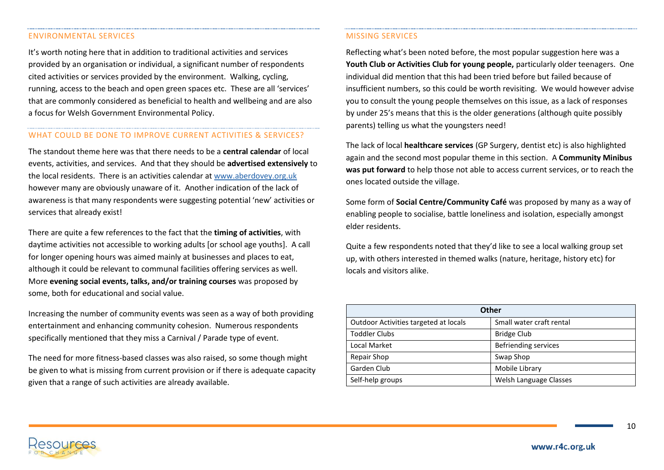### ENVIRONMENTAL SERVICES

It's worth noting here that in addition to traditional activities and services provided by an organisation or individual, a significant number of respondents cited activities or services provided by the environment. Walking, cycling, running, access to the beach and open green spaces etc. These are all 'services' that are commonly considered as beneficial to health and wellbeing and are also a focus for Welsh Government Environmental Policy.

#### WHAT COULD BE DONE TO IMPROVE CURRENT ACTIVITIES & SERVICES?

The standout theme here was that there needs to be a **central calendar** of local events, activities, and services. And that they should be **advertised extensively** to the local residents. There is an activities calendar a[t www.aberdovey.org.uk](http://www.aberdovey.org.uk/) however many are obviously unaware of it. Another indication of the lack of awareness is that many respondents were suggesting potential 'new' activities or services that already exist!

There are quite a few references to the fact that the **timing of activities**, with daytime activities not accessible to working adults [or school age youths]. A call for longer opening hours was aimed mainly at businesses and places to eat, although it could be relevant to communal facilities offering services as well. More **evening social events, talks, and/or training courses** was proposed by some, both for educational and social value.

Increasing the number of community events was seen as a way of both providing entertainment and enhancing community cohesion. Numerous respondents specifically mentioned that they miss a Carnival / Parade type of event.

The need for more fitness-based classes was also raised, so some though might be given to what is missing from current provision or if there is adequate capacity given that a range of such activities are already available.

# MISSING SERVICES

Reflecting what's been noted before, the most popular suggestion here was a **Youth Club or Activities Club for young people,** particularly older teenagers. One individual did mention that this had been tried before but failed because of insufficient numbers, so this could be worth revisiting. We would however advise you to consult the young people themselves on this issue, as a lack of responses by under 25's means that this is the older generations (although quite possibly parents) telling us what the youngsters need!

The lack of local **healthcare services** (GP Surgery, dentist etc) is also highlighted again and the second most popular theme in this section. A **Community Minibus was put forward** to help those not able to access current services, or to reach the ones located outside the village.

Some form of **Social Centre/Community Café** was proposed by many as a way of enabling people to socialise, battle loneliness and isolation, especially amongst elder residents.

Quite a few respondents noted that they'd like to see a local walking group set up, with others interested in themed walks (nature, heritage, history etc) for locals and visitors alike.

| Other                                 |                          |  |
|---------------------------------------|--------------------------|--|
| Outdoor Activities targeted at locals | Small water craft rental |  |
| <b>Toddler Clubs</b>                  | <b>Bridge Club</b>       |  |
| Local Market                          | Befriending services     |  |
| Repair Shop                           | Swap Shop                |  |
| Garden Club                           | Mobile Library           |  |
| Self-help groups                      | Welsh Language Classes   |  |

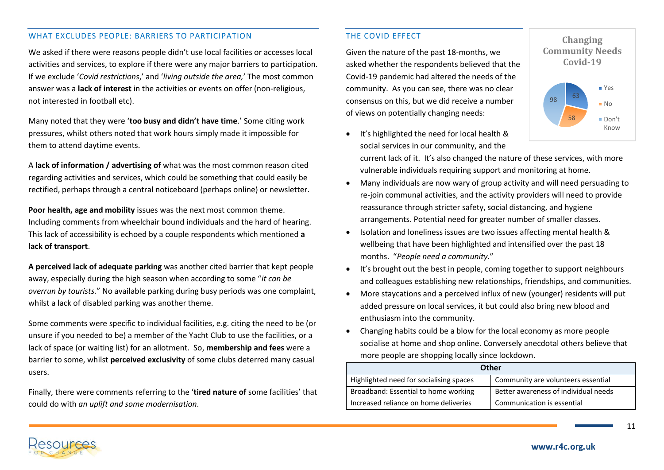### WHAT EXCLUDES PEOPLE: BARRIERS TO PARTICIPATION

We asked if there were reasons people didn't use local facilities or accesses local activities and services, to explore if there were any major barriers to participation. If we exclude '*Covid restrictions*,' and '*living outside the area,*' The most common answer was a **lack of interest** in the activities or events on offer (non-religious, not interested in football etc).

Many noted that they were '**too busy and didn't have time**.' Some citing work pressures, whilst others noted that work hours simply made it impossible for them to attend daytime events.

A **lack of information / advertising of** what was the most common reason cited regarding activities and services, which could be something that could easily be rectified, perhaps through a central noticeboard (perhaps online) or newsletter.

**Poor health, age and mobility** issues was the next most common theme. Including comments from wheelchair bound individuals and the hard of hearing. This lack of accessibility is echoed by a couple respondents which mentioned **a lack of transport**.

**A perceived lack of adequate parking** was another cited barrier that kept people away, especially during the high season when according to some "*it can be overrun by tourists.*" No available parking during busy periods was one complaint, whilst a lack of disabled parking was another theme.

Some comments were specific to individual facilities, e.g. citing the need to be (or unsure if you needed to be) a member of the Yacht Club to use the facilities, or a lack of space (or waiting list) for an allotment. So, **membership and fees** were a barrier to some, whilst **perceived exclusivity** of some clubs deterred many casual users.

Finally, there were comments referring to the '**tired nature of** some facilities' that could do with *an uplift and some modernisation*.

#### THE COVID EFFECT

Given the nature of the past 18-months, we asked whether the respondents believed that the Covid-19 pandemic had altered the needs of the community. As you can see, there was no clear consensus on this, but we did receive a number of views on potentially changing needs:

• It's highlighted the need for local health & social services in our community, and the



current lack of it. It's also changed the nature of these services, with more vulnerable individuals requiring support and monitoring at home.

- Many individuals are now wary of group activity and will need persuading to re-join communal activities, and the activity providers will need to provide reassurance through stricter safety, social distancing, and hygiene arrangements. Potential need for greater number of smaller classes.
- Isolation and loneliness issues are two issues affecting mental health & wellbeing that have been highlighted and intensified over the past 18 months. "*People need a community.*"
- It's brought out the best in people, coming together to support neighbours and colleagues establishing new relationships, friendships, and communities.
- More staycations and a perceived influx of new (younger) residents will put added pressure on local services, it but could also bring new blood and enthusiasm into the community.
- Changing habits could be a blow for the local economy as more people socialise at home and shop online. Conversely anecdotal others believe that more people are shopping locally since lockdown.

| Other                                   |                                      |  |  |
|-----------------------------------------|--------------------------------------|--|--|
| Highlighted need for socialising spaces | Community are volunteers essential   |  |  |
| Broadband: Essential to home working    | Better awareness of individual needs |  |  |
| Increased reliance on home deliveries   | Communication is essential           |  |  |

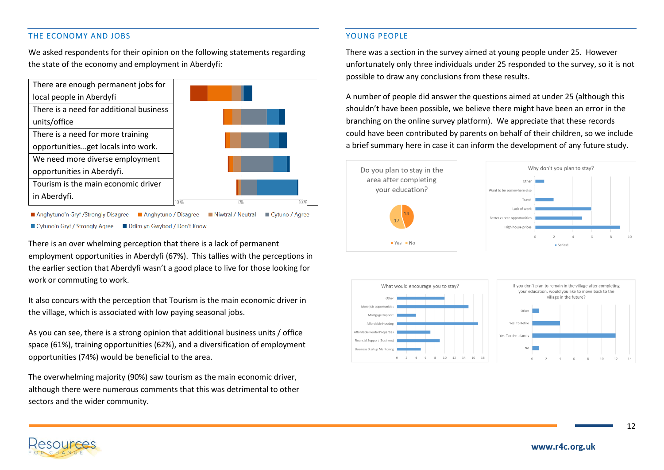# THE ECONOMY AND JOBS

We asked respondents for their opinion on the following statements regarding the state of the economy and employment in Aberdyfi:



Anghytuno'n Gryf /Strongly Disagree Anghytuno / Disagree Niwtral / Neutral Cytuno / Agree

■ Cytuno'n Gryf / Strongly Agree ■ Ddim yn Gwybod / Don't Know

There is an over whelming perception that there is a lack of permanent employment opportunities in Aberdyfi (67%). This tallies with the perceptions in the earlier section that Aberdyfi wasn't a good place to live for those looking for work or commuting to work.

It also concurs with the perception that Tourism is the main economic driver in the village, which is associated with low paying seasonal jobs.

As you can see, there is a strong opinion that additional business units / office space (61%), training opportunities (62%), and a diversification of employment opportunities (74%) would be beneficial to the area.

The overwhelming majority (90%) saw tourism as the main economic driver, although there were numerous comments that this was detrimental to other sectors and the wider community.

### YOUNG PEOPLE

There was a section in the survey aimed at young people under 25. However unfortunately only three individuals under 25 responded to the survey, so it is not possible to draw any conclusions from these results.

A number of people did answer the questions aimed at under 25 (although this shouldn't have been possible, we believe there might have been an error in the branching on the online survey platform). We appreciate that these records could have been contributed by parents on behalf of their children, so we include a brief summary here in case it can inform the development of any future study.









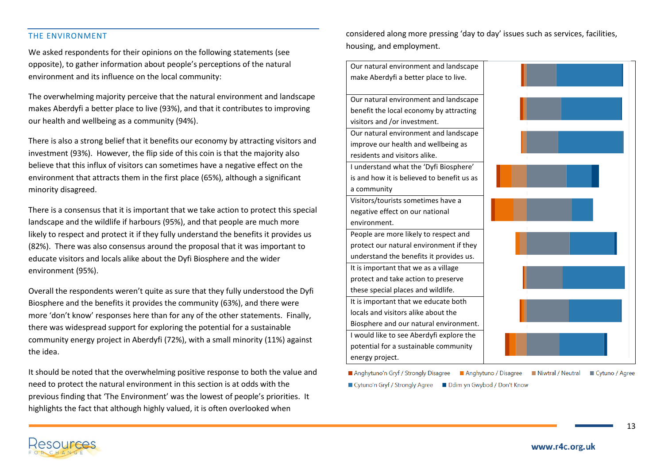## THE ENVIRONMENT

We asked respondents for their opinions on the following statements (see opposite), to gather information about people's perceptions of the natural environment and its influence on the local community:

The overwhelming majority perceive that the natural environment and landscape makes Aberdyfi a better place to live (93%), and that it contributes to improving our health and wellbeing as a community (94%).

There is also a strong belief that it benefits our economy by attracting visitors and investment (93%). However, the flip side of this coin is that the majority also believe that this influx of visitors can sometimes have a negative effect on the environment that attracts them in the first place (65%), although a significant minority disagreed.

There is a consensus that it is important that we take action to protect this special landscape and the wildlife if harbours (95%), and that people are much more likely to respect and protect it if they fully understand the benefits it provides us (82%). There was also consensus around the proposal that it was important to educate visitors and locals alike about the Dyfi Biosphere and the wider environment (95%).

Overall the respondents weren't quite as sure that they fully understood the Dyfi Biosphere and the benefits it provides the community (63%), and there were more 'don't know' responses here than for any of the other statements. Finally, there was widespread support for exploring the potential for a sustainable community energy project in Aberdyfi (72%), with a small minority (11%) against the idea.

It should be noted that the overwhelming positive response to both the value and need to protect the natural environment in this section is at odds with the previous finding that 'The Environment' was the lowest of people's priorities. It highlights the fact that although highly valued, it is often overlooked when

considered along more pressing 'day to day' issues such as services, facilities, housing, and employment.



Anghytuno'n Gryf / Strongly Disagree Anghytuno / Disagree Niwtral / Neutral Nighton / Agree

■ Cytuno'n Gryf / Strongly Agree ■ Ddim yn Gwybod / Don't Know

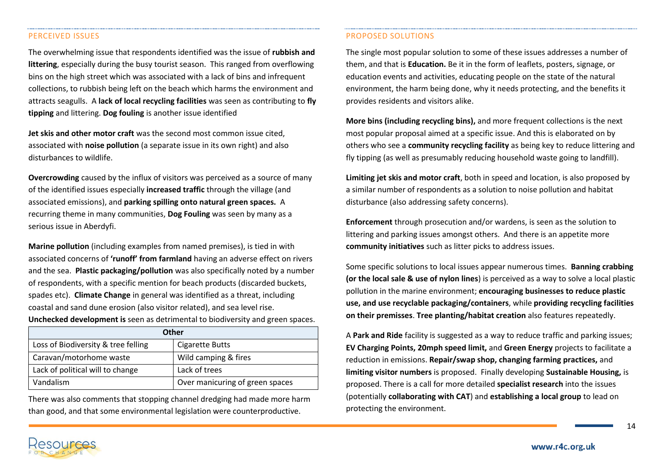# PERCEIVED ISSUES

The overwhelming issue that respondents identified was the issue of **rubbish and littering**, especially during the busy tourist season. This ranged from overflowing bins on the high street which was associated with a lack of bins and infrequent collections, to rubbish being left on the beach which harms the environment and attracts seagulls. A **lack of local recycling facilities** was seen as contributing to **fly tipping** and littering. **Dog fouling** is another issue identified

**Jet skis and other motor craft** was the second most common issue cited, associated with **noise pollution** (a separate issue in its own right) and also disturbances to wildlife.

**Overcrowding** caused by the influx of visitors was perceived as a source of many of the identified issues especially **increased traffic** through the village (and associated emissions), and **parking spilling onto natural green spaces.** A recurring theme in many communities, **Dog Fouling** was seen by many as a serious issue in Aberdyfi.

**Marine pollution** (including examples from named premises), is tied in with associated concerns of **'runoff' from farmland** having an adverse effect on rivers and the sea. **Plastic packaging/pollution** was also specifically noted by a number of respondents, with a specific mention for beach products (discarded buckets, spades etc). **Climate Change** in general was identified as a threat, including coastal and sand dune erosion (also visitor related), and sea level rise. **Unchecked development is** seen as detrimental to biodiversity and green spaces.

| <b>Other</b>                        |                                 |  |
|-------------------------------------|---------------------------------|--|
| Loss of Biodiversity & tree felling | <b>Cigarette Butts</b>          |  |
| Caravan/motorhome waste             | Wild camping & fires            |  |
| Lack of political will to change    | Lack of trees                   |  |
| Vandalism                           | Over manicuring of green spaces |  |

There was also comments that stopping channel dredging had made more harm than good, and that some environmental legislation were counterproductive.

# PROPOSED SOLUTIONS

The single most popular solution to some of these issues addresses a number of them, and that is **Education.** Be it in the form of leaflets, posters, signage, or education events and activities, educating people on the state of the natural environment, the harm being done, why it needs protecting, and the benefits it provides residents and visitors alike.

**More bins (including recycling bins),** and more frequent collections is the next most popular proposal aimed at a specific issue. And this is elaborated on by others who see a **community recycling facility** as being key to reduce littering and fly tipping (as well as presumably reducing household waste going to landfill).

**Limiting jet skis and motor craft**, both in speed and location, is also proposed by a similar number of respondents as a solution to noise pollution and habitat disturbance (also addressing safety concerns).

**Enforcement** through prosecution and/or wardens, is seen as the solution to littering and parking issues amongst others. And there is an appetite more **community initiatives** such as litter picks to address issues.

Some specific solutions to local issues appear numerous times. **Banning crabbing (or the local sale & use of nylon lines**) is perceived as a way to solve a local plastic pollution in the marine environment; **encouraging businesses to reduce plastic use, and use recyclable packaging/containers**, while **providing recycling facilities on their premisses**. **Tree planting/habitat creation** also features repeatedly.

A **Park and Ride** facility is suggested as a way to reduce traffic and parking issues; **EV Charging Points, 20mph speed limit,** and **Green Energy** projects to facilitate a reduction in emissions. **Repair/swap shop, changing farming practices,** and **limiting visitor numbers** is proposed. Finally developing **Sustainable Housing,** is proposed. There is a call for more detailed **specialist research** into the issues (potentially **collaborating with CAT**) and **establishing a local group** to lead on protecting the environment.

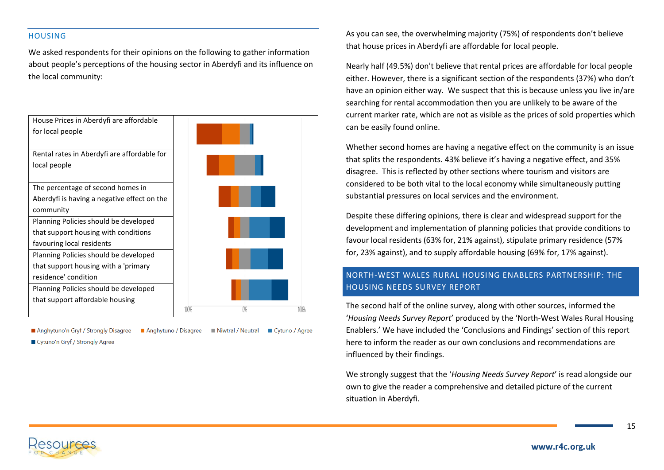## HOUSING

We asked respondents for their opinions on the following to gather information about people's perceptions of the housing sector in Aberdyfi and its influence on the local community:



- Anghytuno'n Gryf / Strongly Disagree | Anghytuno / Disagree Niwtral / Neutral Cytuno / Agree
- Cytuno'n Gryf / Strongly Agree

As you can see, the overwhelming majority (75%) of respondents don't believe that house prices in Aberdyfi are affordable for local people.

Nearly half (49.5%) don't believe that rental prices are affordable for local people either. However, there is a significant section of the respondents (37%) who don't have an opinion either way. We suspect that this is because unless you live in/are searching for rental accommodation then you are unlikely to be aware of the current marker rate, which are not as visible as the prices of sold properties which can be easily found online.

Whether second homes are having a negative effect on the community is an issue that splits the respondents. 43% believe it's having a negative effect, and 35% disagree. This is reflected by other sections where tourism and visitors are considered to be both vital to the local economy while simultaneously putting substantial pressures on local services and the environment.

Despite these differing opinions, there is clear and widespread support for the development and implementation of planning policies that provide conditions to favour local residents (63% for, 21% against), stipulate primary residence (57% for, 23% against), and to supply affordable housing (69% for, 17% against).

# NORTH-WEST WALES RURAL HOUSING ENABLERS PARTNERSHIP: THE HOUSING NEEDS SURVEY REPORT

The second half of the online survey, along with other sources, informed the '*Housing Needs Survey Report*' produced by the 'North-West Wales Rural Housing Enablers.' We have included the 'Conclusions and Findings' section of this report here to inform the reader as our own conclusions and recommendations are influenced by their findings.

We strongly suggest that the '*Housing Needs Survey Report*' is read alongside our own to give the reader a comprehensive and detailed picture of the current situation in Aberdyfi.

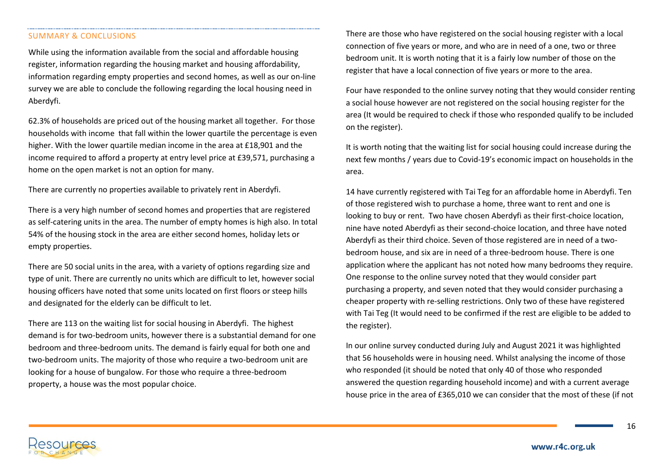### SUMMARY & CONCLUSIONS

While using the information available from the social and affordable housing register, information regarding the housing market and housing affordability, information regarding empty properties and second homes, as well as our on-line survey we are able to conclude the following regarding the local housing need in Aberdyfi.

62.3% of households are priced out of the housing market all together. For those households with income that fall within the lower quartile the percentage is even higher. With the lower quartile median income in the area at £18,901 and the income required to afford a property at entry level price at £39,571, purchasing a home on the open market is not an option for many.

There are currently no properties available to privately rent in Aberdyfi.

There is a very high number of second homes and properties that are registered as self-catering units in the area. The number of empty homes is high also. In total 54% of the housing stock in the area are either second homes, holiday lets or empty properties.

There are 50 social units in the area, with a variety of options regarding size and type of unit. There are currently no units which are difficult to let, however social housing officers have noted that some units located on first floors or steep hills and designated for the elderly can be difficult to let.

There are 113 on the waiting list for social housing in Aberdyfi. The highest demand is for two-bedroom units, however there is a substantial demand for one bedroom and three-bedroom units. The demand is fairly equal for both one and two-bedroom units. The majority of those who require a two-bedroom unit are looking for a house of bungalow. For those who require a three-bedroom property, a house was the most popular choice.

There are those who have registered on the social housing register with a local connection of five years or more, and who are in need of a one, two or three bedroom unit. It is worth noting that it is a fairly low number of those on the register that have a local connection of five years or more to the area.

Four have responded to the online survey noting that they would consider renting a social house however are not registered on the social housing register for the area (It would be required to check if those who responded qualify to be included on the register).

It is worth noting that the waiting list for social housing could increase during the next few months / years due to Covid-19's economic impact on households in the area.

14 have currently registered with Tai Teg for an affordable home in Aberdyfi. Ten of those registered wish to purchase a home, three want to rent and one is looking to buy or rent. Two have chosen Aberdyfi as their first-choice location, nine have noted Aberdyfi as their second-choice location, and three have noted Aberdyfi as their third choice. Seven of those registered are in need of a twobedroom house, and six are in need of a three-bedroom house. There is one application where the applicant has not noted how many bedrooms they require. One response to the online survey noted that they would consider part purchasing a property, and seven noted that they would consider purchasing a cheaper property with re-selling restrictions. Only two of these have registered with Tai Teg (It would need to be confirmed if the rest are eligible to be added to the register).

In our online survey conducted during July and August 2021 it was highlighted that 56 households were in housing need. Whilst analysing the income of those who responded (it should be noted that only 40 of those who responded answered the question regarding household income) and with a current average house price in the area of £365,010 we can consider that the most of these (if not

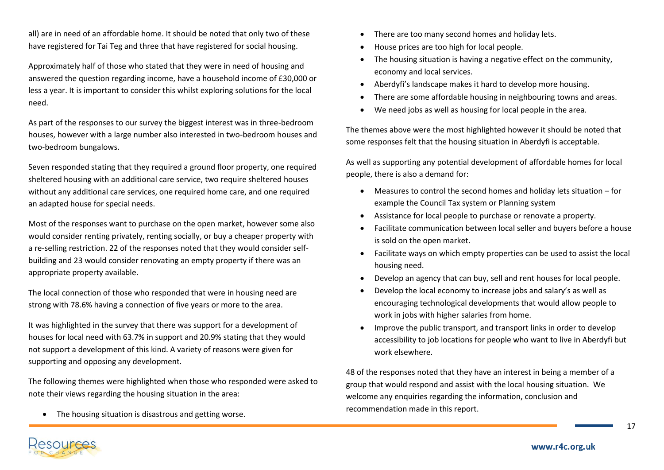all) are in need of an affordable home. It should be noted that only two of these have registered for Tai Teg and three that have registered for social housing.

Approximately half of those who stated that they were in need of housing and answered the question regarding income, have a household income of £30,000 or less a year. It is important to consider this whilst exploring solutions for the local need.

As part of the responses to our survey the biggest interest was in three-bedroom houses, however with a large number also interested in two-bedroom houses and two-bedroom bungalows.

Seven responded stating that they required a ground floor property, one required sheltered housing with an additional care service, two require sheltered houses without any additional care services, one required home care, and one required an adapted house for special needs.

Most of the responses want to purchase on the open market, however some also would consider renting privately, renting socially, or buy a cheaper property with a re-selling restriction. 22 of the responses noted that they would consider selfbuilding and 23 would consider renovating an empty property if there was an appropriate property available.

The local connection of those who responded that were in housing need are strong with 78.6% having a connection of five years or more to the area.

It was highlighted in the survey that there was support for a development of houses for local need with 63.7% in support and 20.9% stating that they would not support a development of this kind. A variety of reasons were given for supporting and opposing any development.

The following themes were highlighted when those who responded were asked to note their views regarding the housing situation in the area:

• The housing situation is disastrous and getting worse.

- There are too many second homes and holiday lets.
- House prices are too high for local people.
- The housing situation is having a negative effect on the community. economy and local services.
- Aberdyfi's landscape makes it hard to develop more housing.
- There are some affordable housing in neighbouring towns and areas.
- We need jobs as well as housing for local people in the area.

The themes above were the most highlighted however it should be noted that some responses felt that the housing situation in Aberdyfi is acceptable.

As well as supporting any potential development of affordable homes for local people, there is also a demand for:

- Measures to control the second homes and holiday lets situation for example the Council Tax system or Planning system
- Assistance for local people to purchase or renovate a property.
- Facilitate communication between local seller and buyers before a house is sold on the open market.
- Facilitate ways on which empty properties can be used to assist the local housing need.
- Develop an agency that can buy, sell and rent houses for local people.
- Develop the local economy to increase jobs and salary's as well as encouraging technological developments that would allow people to work in jobs with higher salaries from home.
- Improve the public transport, and transport links in order to develop accessibility to job locations for people who want to live in Aberdyfi but work elsewhere.

48 of the responses noted that they have an interest in being a member of a group that would respond and assist with the local housing situation. We welcome any enquiries regarding the information, conclusion and recommendation made in this report.